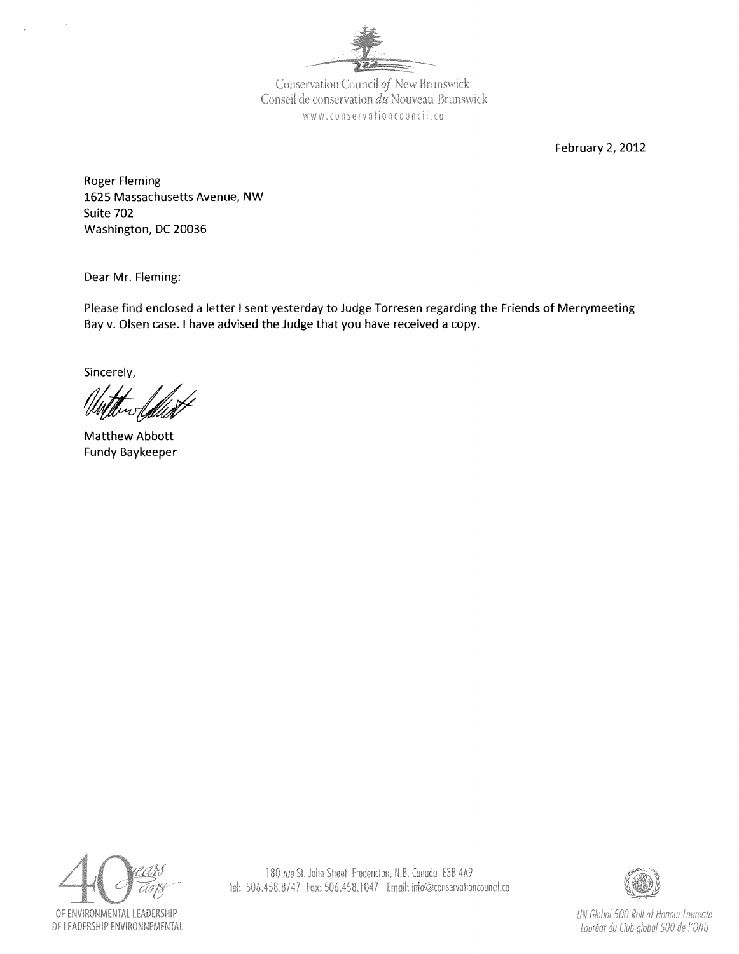

Conservation Council of New Brunswick Conseil de conservation du Nouveau-Brunswick www.conservationcouncil.ca

February 2, 2012

Roger Fleming 1625 Massachusetts Avenue, NW Suite 702 Washington, DC 20036

Dear Mr. Fleming:

Please find enclosed a letter I sent yesterday to Judge Torresen regarding the Friends of Merrymeeting Bay v. Olsen case. I have advised the Judge that you have received a copy.

Sincerely,

Matthew Abbott Fundy Baykeeper





UN Global 500 Roll of Honour Laureate Lauréat du Club global 500 de l'ONU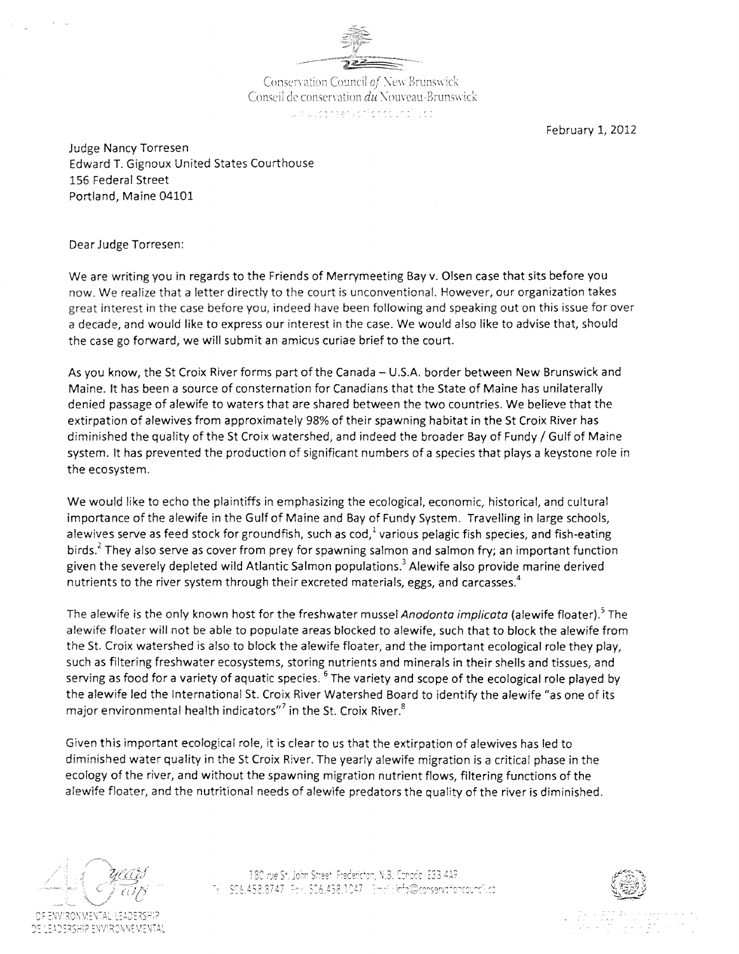

Conservation Council of New Brunswick Conseil de conservation du Nouveau-Brunswick الموارد المعاملة والمحافظ والموارد والمحالي والمحالي

February 1, 2012

Judge Nancy Torresen Edward T. Gignoux United States Courthouse 156 Federal Street Portland, Maine 04101

Dear Judge Torresen:

We are writing you in regards to the Friends of Merrymeeting Bay v. Olsen case that sits before you now. We realize that a letter directly to the court is unconventional. However, our organization takes great interest in the case before you, indeed have been following and speaking out on this issue for over a decade, and would like to express our interest in the case. We would also like to advise that, should the case go forward, we will submit an amicus curiae brief to the court.

As you know, the St Croix River forms part of the Canada - U.S.A. border between New Brunswick and Maine. It has been a source of consternation for Canadians that the State of Maine has unilaterally denied passage of alewife to waters that are shared between the two countries. We believe that the extirpation of alewives from approximately 98% of their spawning habitat in the St Croix River has diminished the quality of the St Croix watershed, and indeed the broader Bay of Fundy / Gulf of Maine system. It has prevented the production of Significant numbers of a species that plays a keystone role in the ecosystem.

We would like to echo the plaintiffs in emphasizing the ecological, economic, historical, and cultural importance of the alewife in the Gulf of Maine and Bay of Fundy System. Travelling in large schools, alewives serve as feed stock for groundfish, such as  $\cot^{1}$  various pelagic fish species, and fish-eating birds.<sup>2</sup> They also serve as cover from prey for spawning salmon and salmon fry; an important function given the severely depleted wild Atlantic Salmon populations.<sup>3</sup> Alewife also provide marine derived nutrients to the river system through their excreted materials, eggs, and carcasses.<sup>4</sup>

The alewife is the only known host for the freshwater mussel Anodonta implicata (alewife floater).<sup>5</sup> The alewife floater will not be able to populate areas blocked to alewife, such that to block the alewife from the St. Croix watershed is also to block the alewife floater, and the important ecological role they play, such as filtering freshwater ecosystems, storing nutrients and minerals in their shells and tissues, and serving as food for a variety of aquatic species. <sup>6</sup> The variety and scope of the ecological role played by the alewife led the International St. Croix River Watershed Board to identify the alewife "as one of its major environmental health indicators"<sup>7</sup> in the St. Croix River.<sup>8</sup>

Given this important ecological role, it is clear to us that the extirpation of alewives has led to diminished water quality in the St Croix River. The yearly alewife migration is a critical phase in the ecology of the river, and without the spawning migration nutrient flows, filtering functions of the alewife floater, and the nutritional needs of alewife predators the quality of the river is diminished.

EADERSHIP ENVIRONNEMENTAL

180 rue St. John Street, Fredericton, N.B. Conada, E33 4A9 5C6.452,37 d 7

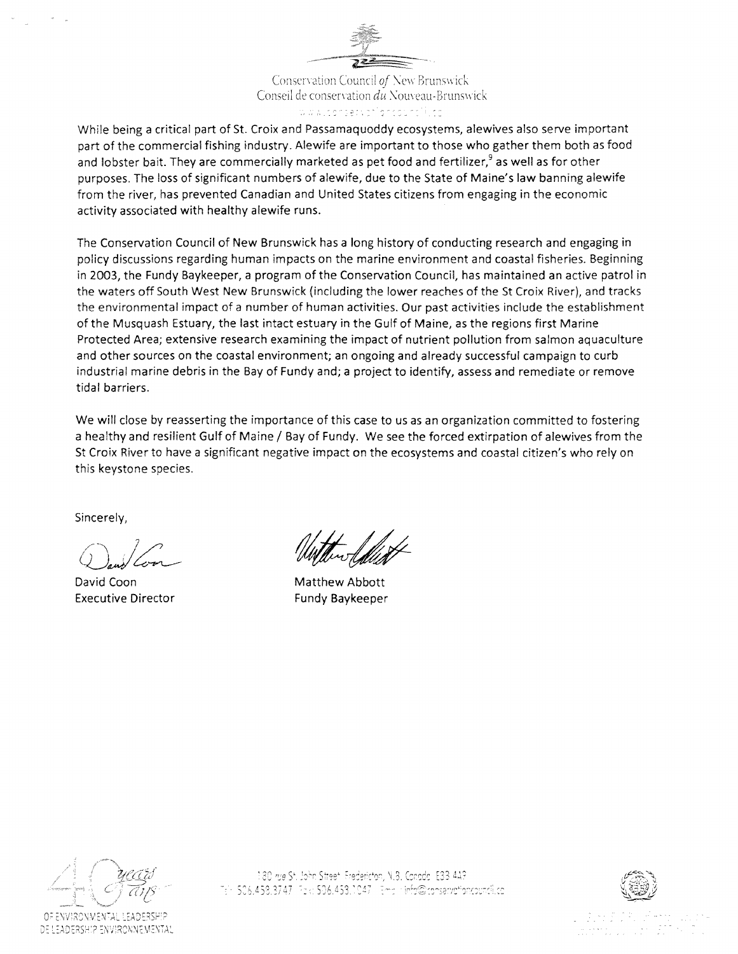Conservation Council of New Brunswick Conseil de conservation du Nouveau-Brunswick www.comprumber.com/inn

While being a critical part of St. Croix and Passamaquoddy ecosystems, alewives also serve important part of the commercial fishing industry. Alewife are important to those who gather them both as food and lobster bait. They are commercially marketed as pet food and fertilizer,<sup>9</sup> as well as for other purposes. The loss of significant numbers of alewife, due to the State of Maine's law banning alewife from the river, has prevented Canadian and United States citizens from engaging in the economic activity associated with healthy alewife runs.

The Conservation Council of New Brunswick has a long history of conducting research and engaging in policy discussions regarding human impacts on the marine environment and coastal fisheries. Beginning in 2003, the Fundy Baykeeper, a program of the Conservation Council, has maintained an active patrol in the waters off South West New Brunswick (including the lower reaches of the St Croix River), and tracks the environmental impact of a number of human activities. Our past activities include the establishment of the Musquash Estuary, the last intact estuary in the Gulf of Maine, as the regions first Marine Protected Area; extensive research examining the impact of nutrient pollution from salmon aquaculture and other sources on the coastal environment; an ongoing and already successful campaign to curb industrial marine debris in the Bay of Fundy and; a project to identify, assess and remediate or remove tidal barriers.

We will close by reasserting the importance of this case to us as an organization committed to fostering a healthy and resilient Gulf of Maine / Bay of Fundy. We see the forced extirpation of alewives from the St Croix River to have a significant negative impact on the ecosystems and coastal citizen's who rely on this keystone species.

Sincerely,

David Coon Executive Director

Matthew Abbott Fundy Baykeeper



FNV:RONMENTAL : FADERSH! DE LEADERSHIP ENVIRONNEMENTAL